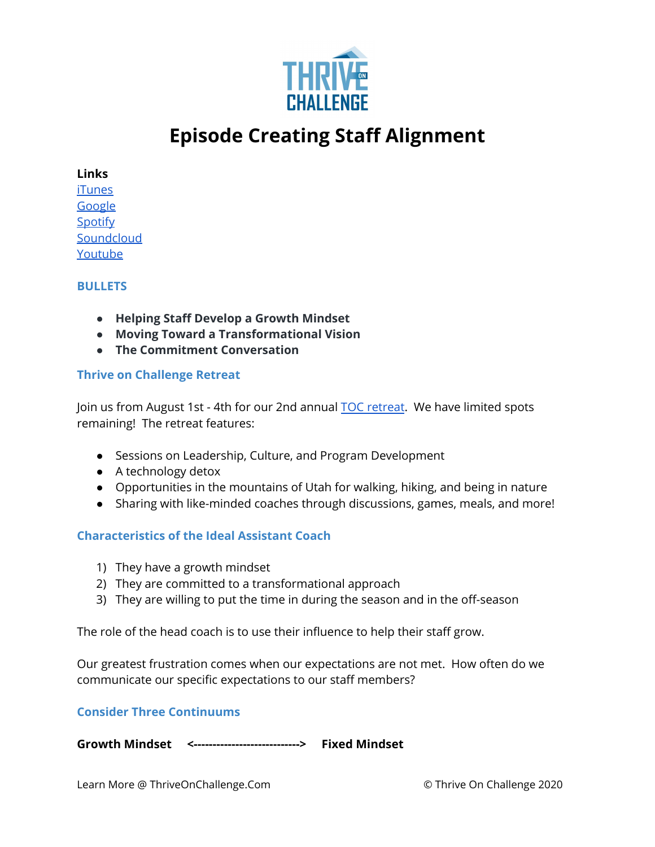

# **Episode Creating Staff Alignment**

# **Links**

[iTunes](https://podcasts.apple.com/us/podcast/coaching-culture/id1286560192) **[Google](https://podcasts.google.com/feed/aHR0cHM6Ly9mZWVkcy5zb3VuZGNsb3VkLmNvbS91c2Vycy9zb3VuZGNsb3VkOnVzZXJzOjQxMDQyNzcvc291bmRzLnJzcw?ved=2ahUKEwiSpYquy9vqAhVbQUEAHSAkC88Q4aUDegQIARAC) [Spotify](https://open.spotify.com/show/336Hs8udk8s0yXuK3BzSOq) [Soundcloud](https://soundcloud.com/thriveonchallenge)** [Youtube](https://www.youtube.com/channel/UC3vIljCBzwHcPyVIx9kiHvw)

# **BULLETS**

- **● Helping Staff Develop a Growth Mindset**
- **● Moving Toward a Transformational Vision**
- **● The Commitment Conversation**

# **Thrive on Challenge Retreat**

Join us from August 1st - 4th for our 2nd annual TOC [retreat](https://pgcbasketball.com/webinars/?utm_campaign=2021%20Summer%20Launch&utm_medium=email&_hsmi=118029215&_hsenc=p2ANqtz-8mEpF_FxweQcYsclKxDVlfaG2EAJzL_q39WIZkt5PGsedeMLg_FIGE11MhURPwdmtpb8gv824rwel7eIWjuIeZucfUp0X3cxZtFuWFvuYOeQdneYU&utm_content=118029215&utm_source=hs_email). We have limited spots remaining! The retreat features:

- Sessions on Leadership, Culture, and Program Development
- A technology detox
- Opportunities in the mountains of Utah for walking, hiking, and being in nature
- Sharing with like-minded coaches through discussions, games, meals, and more!

# **Characteristics of the Ideal Assistant Coach**

- 1) They have a growth mindset
- 2) They are committed to a transformational approach
- 3) They are willing to put the time in during the season and in the off-season

The role of the head coach is to use their influence to help their staff grow.

Our greatest frustration comes when our expectations are not met. How often do we communicate our specific expectations to our staff members?

# **Consider Three Continuums**

**Growth Mindset <----------------------------> Fixed Mindset**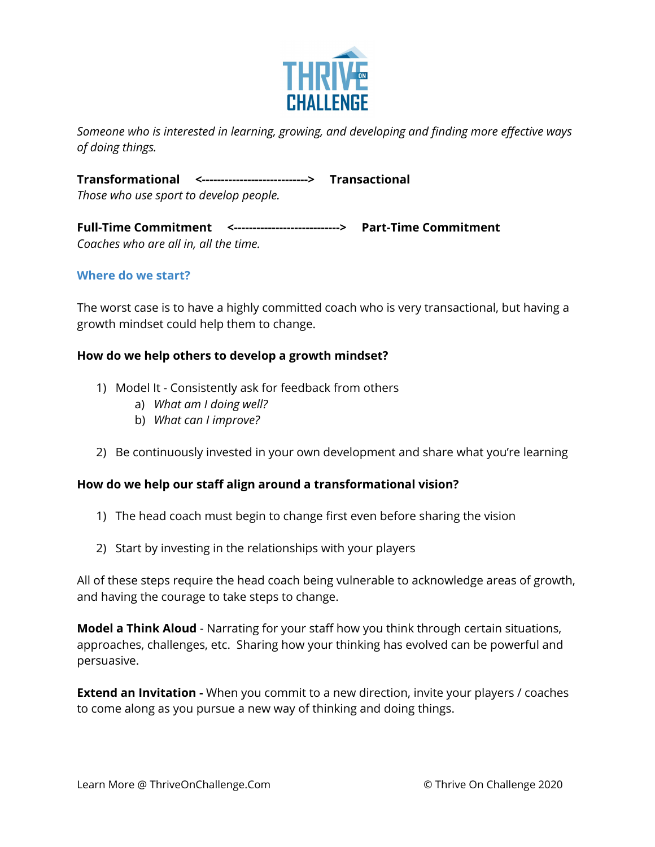

*Someone who is interested in learning, growing, and developing and finding more effective ways of doing things.*

**Transformational <----------------------------> Transactional** *Those who use sport to develop people.*

**Full-Time Commitment <----------------------------> Part-Time Commitment** *Coaches who are all in, all the time.*

# **Where do we start?**

The worst case is to have a highly committed coach who is very transactional, but having a growth mindset could help them to change.

#### **How do we help others to develop a growth mindset?**

- 1) Model It Consistently ask for feedback from others
	- a) *What am I doing well?*
	- b) *What can I improve?*
- 2) Be continuously invested in your own development and share what you're learning

#### **How do we help our staff align around a transformational vision?**

- 1) The head coach must begin to change first even before sharing the vision
- 2) Start by investing in the relationships with your players

All of these steps require the head coach being vulnerable to acknowledge areas of growth, and having the courage to take steps to change.

**Model a Think Aloud** - Narrating for your staff how you think through certain situations, approaches, challenges, etc. Sharing how your thinking has evolved can be powerful and persuasive.

**Extend an Invitation -** When you commit to a new direction, invite your players / coaches to come along as you pursue a new way of thinking and doing things.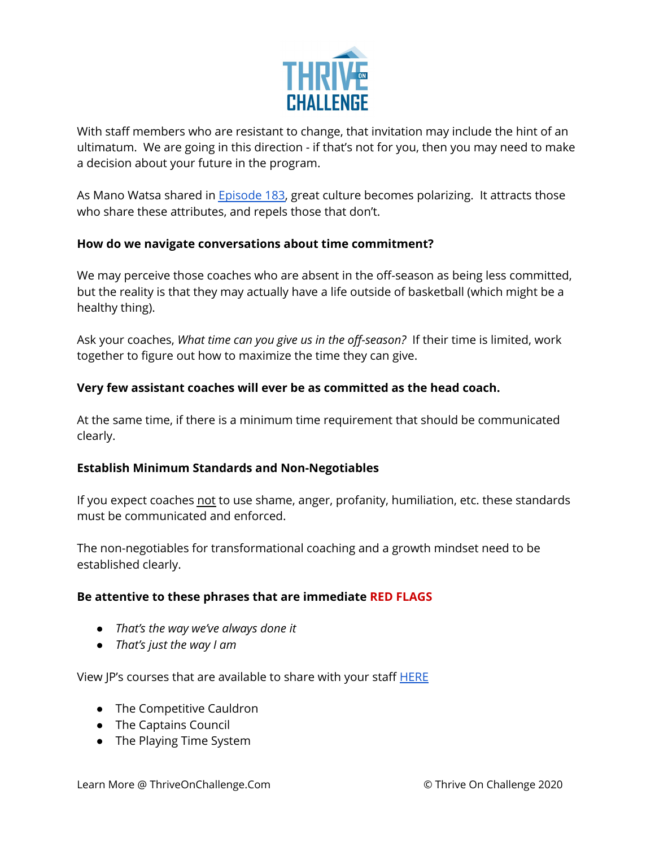

With staff members who are resistant to change, that invitation may include the hint of an ultimatum. We are going in this direction - if that's not for you, then you may need to make a decision about your future in the program.

As Mano Watsa shared in **[Episode](https://podcasts.apple.com/us/podcast/184-how-to-teach-a-championship-mindset-with-mano-watsa/id1286560192?i=1000513829872) 183**, great culture becomes polarizing. It attracts those who share these attributes, and repels those that don't.

# **How do we navigate conversations about time commitment?**

We may perceive those coaches who are absent in the off-season as being less committed, but the reality is that they may actually have a life outside of basketball (which might be a healthy thing).

Ask your coaches, *What time can you give us in the off-season?* If their time is limited, work together to figure out how to maximize the time they can give.

# **Very few assistant coaches will ever be as committed as the head coach.**

At the same time, if there is a minimum time requirement that should be communicated clearly.

# **Establish Minimum Standards and Non-Negotiables**

If you expect coaches not to use shame, anger, profanity, humiliation, etc. these standards must be communicated and enforced.

The non-negotiables for transformational coaching and a growth mindset need to be established clearly.

# **Be attentive to these phrases that are immediate RED FLAGS**

- *● That's the way we've always done it*
- *● That's just the way I am*

View JP's courses that are available to share with your staff [HERE](https://thriveonchallenge.com/#courses)

- The Competitive Cauldron
- The Captains Council
- The Playing Time System